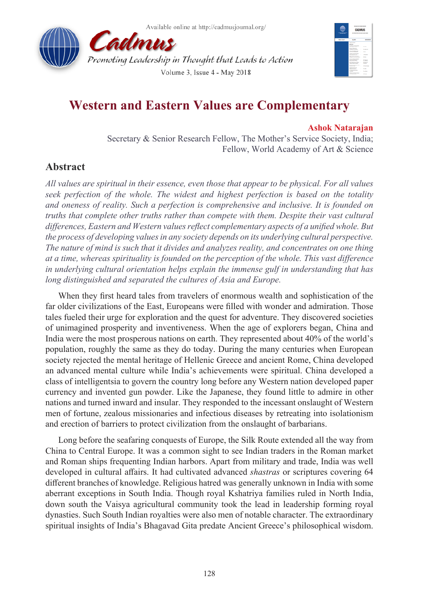



## **Western and Eastern Values are Complementary**

## **Ashok Natarajan**

Secretary & Senior Research Fellow, The Mother's Service Society, India; Fellow, World Academy of Art & Science

## **Abstract**

*All values are spiritual in their essence, even those that appear to be physical. For all values seek perfection of the whole. The widest and highest perfection is based on the totality and oneness of reality. Such a perfection is comprehensive and inclusive. It is founded on truths that complete other truths rather than compete with them. Despite their vast cultural differences, Eastern and Western values reflect complementary aspects of a unified whole. But the process of developing values in any society depends on its underlying cultural perspective. The nature of mind is such that it divides and analyzes reality, and concentrates on one thing at a time, whereas spirituality is founded on the perception of the whole. This vast difference in underlying cultural orientation helps explain the immense gulf in understanding that has long distinguished and separated the cultures of Asia and Europe.*

When they first heard tales from travelers of enormous wealth and sophistication of the far older civilizations of the East, Europeans were filled with wonder and admiration. Those tales fueled their urge for exploration and the quest for adventure. They discovered societies of unimagined prosperity and inventiveness. When the age of explorers began, China and India were the most prosperous nations on earth. They represented about 40% of the world's population, roughly the same as they do today. During the many centuries when European society rejected the mental heritage of Hellenic Greece and ancient Rome, China developed an advanced mental culture while India's achievements were spiritual. China developed a class of intelligentsia to govern the country long before any Western nation developed paper currency and invented gun powder. Like the Japanese, they found little to admire in other nations and turned inward and insular. They responded to the incessant onslaught of Western men of fortune, zealous missionaries and infectious diseases by retreating into isolationism and erection of barriers to protect civilization from the onslaught of barbarians.

Long before the seafaring conquests of Europe, the Silk Route extended all the way from China to Central Europe. It was a common sight to see Indian traders in the Roman market and Roman ships frequenting Indian harbors. Apart from military and trade, India was well developed in cultural affairs. It had cultivated advanced *shastras* or scriptures covering 64 different branches of knowledge. Religious hatred was generally unknown in India with some aberrant exceptions in South India. Though royal Kshatriya families ruled in North India, down south the Vaisya agricultural community took the lead in leadership forming royal dynasties. Such South Indian royalties were also men of notable character. The extraordinary spiritual insights of India's Bhagavad Gita predate Ancient Greece's philosophical wisdom.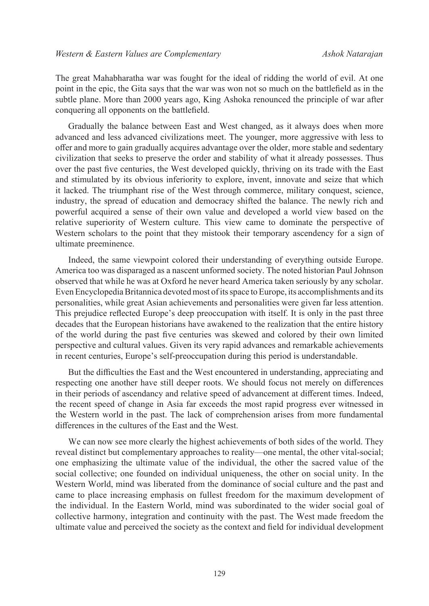The great Mahabharatha war was fought for the ideal of ridding the world of evil. At one point in the epic, the Gita says that the war was won not so much on the battlefield as in the subtle plane. More than 2000 years ago, King Ashoka renounced the principle of war after conquering all opponents on the battlefield.

Gradually the balance between East and West changed, as it always does when more advanced and less advanced civilizations meet. The younger, more aggressive with less to offer and more to gain gradually acquires advantage over the older, more stable and sedentary civilization that seeks to preserve the order and stability of what it already possesses. Thus over the past five centuries, the West developed quickly, thriving on its trade with the East and stimulated by its obvious inferiority to explore, invent, innovate and seize that which it lacked. The triumphant rise of the West through commerce, military conquest, science, industry, the spread of education and democracy shifted the balance. The newly rich and powerful acquired a sense of their own value and developed a world view based on the relative superiority of Western culture. This view came to dominate the perspective of Western scholars to the point that they mistook their temporary ascendency for a sign of ultimate preeminence.

Indeed, the same viewpoint colored their understanding of everything outside Europe. America too was disparaged as a nascent unformed society. The noted historian Paul Johnson observed that while he was at Oxford he never heard America taken seriously by any scholar. Even Encyclopedia Britannica devoted most of its space to Europe, its accomplishments and its personalities, while great Asian achievements and personalities were given far less attention. This prejudice reflected Europe's deep preoccupation with itself. It is only in the past three decades that the European historians have awakened to the realization that the entire history of the world during the past five centuries was skewed and colored by their own limited perspective and cultural values. Given its very rapid advances and remarkable achievements in recent centuries, Europe's self-preoccupation during this period is understandable.

But the difficulties the East and the West encountered in understanding, appreciating and respecting one another have still deeper roots. We should focus not merely on differences in their periods of ascendancy and relative speed of advancement at different times. Indeed, the recent speed of change in Asia far exceeds the most rapid progress ever witnessed in the Western world in the past. The lack of comprehension arises from more fundamental differences in the cultures of the East and the West.

We can now see more clearly the highest achievements of both sides of the world. They reveal distinct but complementary approaches to reality—one mental, the other vital-social; one emphasizing the ultimate value of the individual, the other the sacred value of the social collective; one founded on individual uniqueness, the other on social unity. In the Western World, mind was liberated from the dominance of social culture and the past and came to place increasing emphasis on fullest freedom for the maximum development of the individual. In the Eastern World, mind was subordinated to the wider social goal of collective harmony, integration and continuity with the past. The West made freedom the ultimate value and perceived the society as the context and field for individual development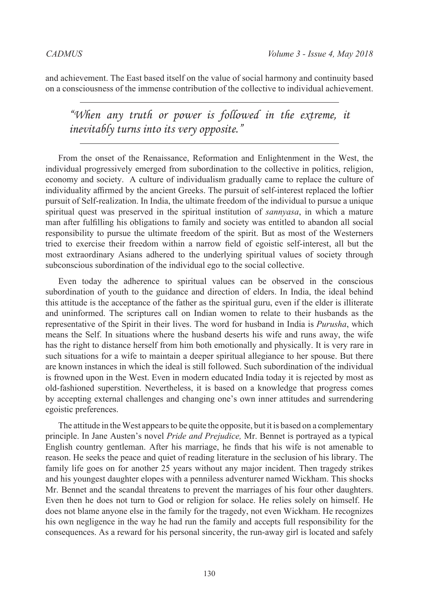and achievement. The East based itself on the value of social harmony and continuity based on a consciousness of the immense contribution of the collective to individual achievement.

*"When any truth or power is followed in the extreme, it inevitably turns into its very opposite."*

From the onset of the Renaissance, Reformation and Enlightenment in the West, the individual progressively emerged from subordination to the collective in politics, religion, economy and society. A culture of individualism gradually came to replace the culture of individuality affirmed by the ancient Greeks. The pursuit of self-interest replaced the loftier pursuit of Self-realization. In India, the ultimate freedom of the individual to pursue a unique spiritual quest was preserved in the spiritual institution of *sannyasa*, in which a mature man after fulfilling his obligations to family and society was entitled to abandon all social responsibility to pursue the ultimate freedom of the spirit. But as most of the Westerners tried to exercise their freedom within a narrow field of egoistic self-interest, all but the most extraordinary Asians adhered to the underlying spiritual values of society through subconscious subordination of the individual ego to the social collective.

Even today the adherence to spiritual values can be observed in the conscious subordination of youth to the guidance and direction of elders. In India, the ideal behind this attitude is the acceptance of the father as the spiritual guru, even if the elder is illiterate and uninformed. The scriptures call on Indian women to relate to their husbands as the representative of the Spirit in their lives. The word for husband in India is *Purusha*, which means the Self. In situations where the husband deserts his wife and runs away, the wife has the right to distance herself from him both emotionally and physically. It is very rare in such situations for a wife to maintain a deeper spiritual allegiance to her spouse. But there are known instances in which the ideal is still followed. Such subordination of the individual is frowned upon in the West. Even in modern educated India today it is rejected by most as old-fashioned superstition. Nevertheless, it is based on a knowledge that progress comes by accepting external challenges and changing one's own inner attitudes and surrendering egoistic preferences.

The attitude in the West appears to be quite the opposite, but it is based on a complementary principle. In Jane Austen's novel *Pride and Prejudice,* Mr. Bennet is portrayed as a typical English country gentleman. After his marriage, he finds that his wife is not amenable to reason. He seeks the peace and quiet of reading literature in the seclusion of his library. The family life goes on for another 25 years without any major incident. Then tragedy strikes and his youngest daughter elopes with a penniless adventurer named Wickham. This shocks Mr. Bennet and the scandal threatens to prevent the marriages of his four other daughters. Even then he does not turn to God or religion for solace. He relies solely on himself. He does not blame anyone else in the family for the tragedy, not even Wickham. He recognizes his own negligence in the way he had run the family and accepts full responsibility for the consequences. As a reward for his personal sincerity, the run-away girl is located and safely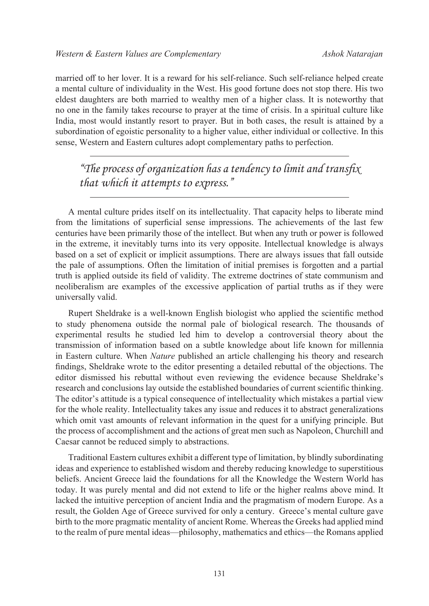married off to her lover. It is a reward for his self-reliance. Such self-reliance helped create a mental culture of individuality in the West. His good fortune does not stop there. His two eldest daughters are both married to wealthy men of a higher class. It is noteworthy that no one in the family takes recourse to prayer at the time of crisis. In a spiritual culture like India, most would instantly resort to prayer. But in both cases, the result is attained by a subordination of egoistic personality to a higher value, either individual or collective. In this sense, Western and Eastern cultures adopt complementary paths to perfection.

*"The process of organization has a tendency to limit and transfix that which it attempts to express."*

A mental culture prides itself on its intellectuality. That capacity helps to liberate mind from the limitations of superficial sense impressions. The achievements of the last few centuries have been primarily those of the intellect. But when any truth or power is followed in the extreme, it inevitably turns into its very opposite. Intellectual knowledge is always based on a set of explicit or implicit assumptions. There are always issues that fall outside the pale of assumptions. Often the limitation of initial premises is forgotten and a partial truth is applied outside its field of validity. The extreme doctrines of state communism and neoliberalism are examples of the excessive application of partial truths as if they were universally valid.

Rupert Sheldrake is a well-known English biologist who applied the scientific method to study phenomena outside the normal pale of biological research. The thousands of experimental results he studied led him to develop a controversial theory about the transmission of information based on a subtle knowledge about life known for millennia in Eastern culture. When *Nature* published an article challenging his theory and research findings, Sheldrake wrote to the editor presenting a detailed rebuttal of the objections. The editor dismissed his rebuttal without even reviewing the evidence because Sheldrake's research and conclusions lay outside the established boundaries of current scientific thinking. The editor's attitude is a typical consequence of intellectuality which mistakes a partial view for the whole reality. Intellectuality takes any issue and reduces it to abstract generalizations which omit vast amounts of relevant information in the quest for a unifying principle. But the process of accomplishment and the actions of great men such as Napoleon, Churchill and Caesar cannot be reduced simply to abstractions.

Traditional Eastern cultures exhibit a different type of limitation, by blindly subordinating ideas and experience to established wisdom and thereby reducing knowledge to superstitious beliefs. Ancient Greece laid the foundations for all the Knowledge the Western World has today. It was purely mental and did not extend to life or the higher realms above mind. It lacked the intuitive perception of ancient India and the pragmatism of modern Europe. As a result, the Golden Age of Greece survived for only a century. Greece's mental culture gave birth to the more pragmatic mentality of ancient Rome. Whereas the Greeks had applied mind to the realm of pure mental ideas—philosophy, mathematics and ethics—the Romans applied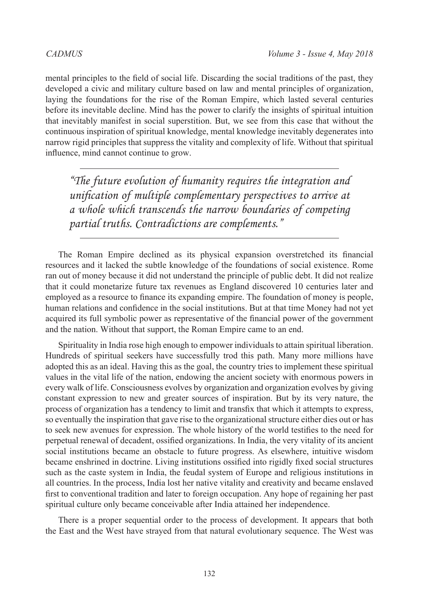mental principles to the field of social life. Discarding the social traditions of the past, they developed a civic and military culture based on law and mental principles of organization, laying the foundations for the rise of the Roman Empire, which lasted several centuries before its inevitable decline. Mind has the power to clarify the insights of spiritual intuition that inevitably manifest in social superstition. But, we see from this case that without the continuous inspiration of spiritual knowledge, mental knowledge inevitably degenerates into narrow rigid principles that suppress the vitality and complexity of life. Without that spiritual influence, mind cannot continue to grow.

*"The future evolution of humanity requires the integration and unification of multiple complementary perspectives to arrive at a whole which transcends the narrow boundaries of competing partial truths. Contradictions are complements."*

The Roman Empire declined as its physical expansion overstretched its financial resources and it lacked the subtle knowledge of the foundations of social existence. Rome ran out of money because it did not understand the principle of public debt. It did not realize that it could monetarize future tax revenues as England discovered 10 centuries later and employed as a resource to finance its expanding empire. The foundation of money is people, human relations and confidence in the social institutions. But at that time Money had not yet acquired its full symbolic power as representative of the financial power of the government and the nation. Without that support, the Roman Empire came to an end.

Spirituality in India rose high enough to empower individuals to attain spiritual liberation. Hundreds of spiritual seekers have successfully trod this path. Many more millions have adopted this as an ideal. Having this as the goal, the country tries to implement these spiritual values in the vital life of the nation, endowing the ancient society with enormous powers in every walk of life. Consciousness evolves by organization and organization evolves by giving constant expression to new and greater sources of inspiration. But by its very nature, the process of organization has a tendency to limit and transfix that which it attempts to express, so eventually the inspiration that gave rise to the organizational structure either dies out or has to seek new avenues for expression. The whole history of the world testifies to the need for perpetual renewal of decadent, ossified organizations. In India, the very vitality of its ancient social institutions became an obstacle to future progress. As elsewhere, intuitive wisdom became enshrined in doctrine. Living institutions ossified into rigidly fixed social structures such as the caste system in India, the feudal system of Europe and religious institutions in all countries. In the process, India lost her native vitality and creativity and became enslaved first to conventional tradition and later to foreign occupation. Any hope of regaining her past spiritual culture only became conceivable after India attained her independence.

There is a proper sequential order to the process of development. It appears that both the East and the West have strayed from that natural evolutionary sequence. The West was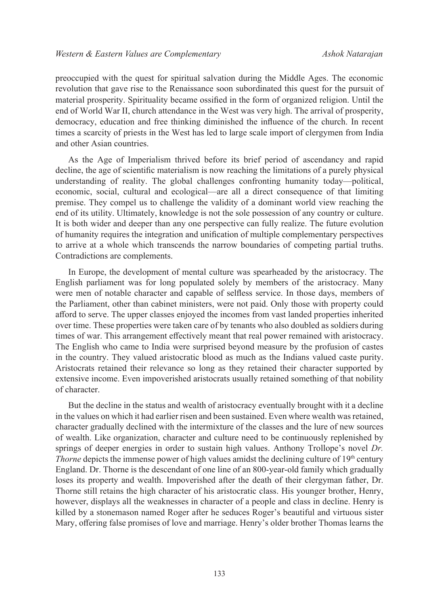preoccupied with the quest for spiritual salvation during the Middle Ages. The economic revolution that gave rise to the Renaissance soon subordinated this quest for the pursuit of material prosperity. Spirituality became ossified in the form of organized religion. Until the end of World War II, church attendance in the West was very high. The arrival of prosperity, democracy, education and free thinking diminished the influence of the church. In recent times a scarcity of priests in the West has led to large scale import of clergymen from India and other Asian countries.

As the Age of Imperialism thrived before its brief period of ascendancy and rapid decline, the age of scientific materialism is now reaching the limitations of a purely physical understanding of reality. The global challenges confronting humanity today—political, economic, social, cultural and ecological—are all a direct consequence of that limiting premise. They compel us to challenge the validity of a dominant world view reaching the end of its utility. Ultimately, knowledge is not the sole possession of any country or culture. It is both wider and deeper than any one perspective can fully realize. The future evolution of humanity requires the integration and unification of multiple complementary perspectives to arrive at a whole which transcends the narrow boundaries of competing partial truths. Contradictions are complements.

In Europe, the development of mental culture was spearheaded by the aristocracy. The English parliament was for long populated solely by members of the aristocracy. Many were men of notable character and capable of selfless service. In those days, members of the Parliament, other than cabinet ministers, were not paid. Only those with property could afford to serve. The upper classes enjoyed the incomes from vast landed properties inherited over time. These properties were taken care of by tenants who also doubled as soldiers during times of war. This arrangement effectively meant that real power remained with aristocracy. The English who came to India were surprised beyond measure by the profusion of castes in the country. They valued aristocratic blood as much as the Indians valued caste purity. Aristocrats retained their relevance so long as they retained their character supported by extensive income. Even impoverished aristocrats usually retained something of that nobility of character.

But the decline in the status and wealth of aristocracy eventually brought with it a decline in the values on which it had earlier risen and been sustained. Even where wealth was retained, character gradually declined with the intermixture of the classes and the lure of new sources of wealth. Like organization, character and culture need to be continuously replenished by springs of deeper energies in order to sustain high values. Anthony Trollope's novel *Dr. Thorne* depicts the immense power of high values amidst the declining culture of 19<sup>th</sup> century England. Dr. Thorne is the descendant of one line of an 800-year-old family which gradually loses its property and wealth. Impoverished after the death of their clergyman father, Dr. Thorne still retains the high character of his aristocratic class. His younger brother, Henry, however, displays all the weaknesses in character of a people and class in decline. Henry is killed by a stonemason named Roger after he seduces Roger's beautiful and virtuous sister Mary, offering false promises of love and marriage. Henry's older brother Thomas learns the